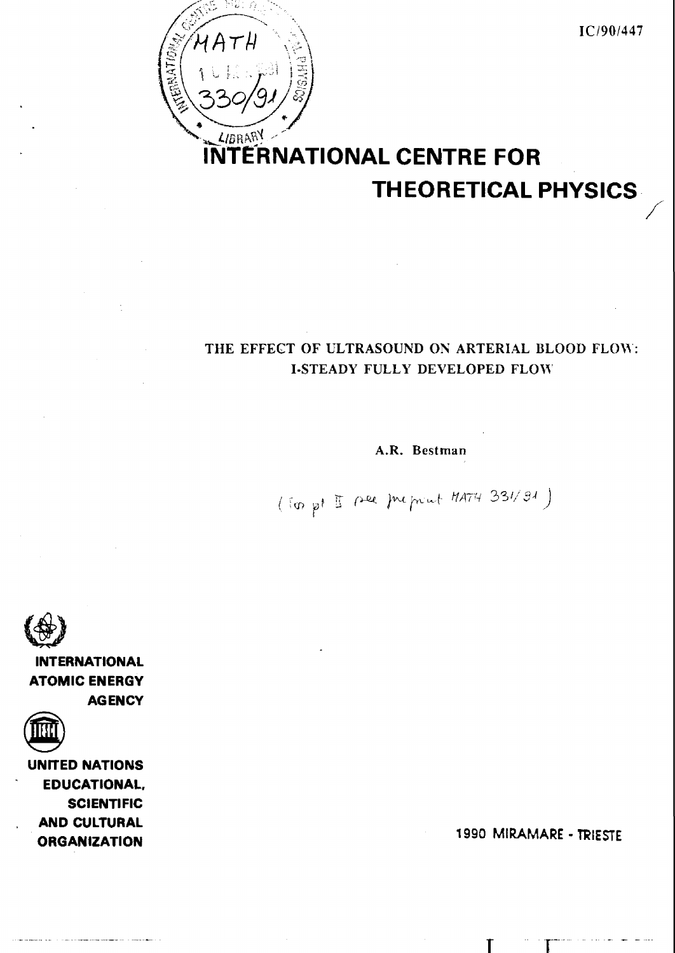

# **INTERNATIONAL CENTRE FOR THEORETICAL PHYSICS**

# THE EFFECT OF ULTRASOUND ON ARTERIAL BLOOD FLOW: **I-STEADY FULLY DEVELOPED FLOW**

A.R. Bestman

(For pt II nee frequent MATH 331/91)



**INTERNATIONAL ATOMIC ENERGY AGENCY** 



**UNITED NATIONS EDUCATIONAL, SCIENTIFIC AND CULTURAL ORGANIZATION** 

.<br>1992 - La Caracterina de Maria Americano de Caracterina de Maria de Maria

1990 MIRAMARE - TRIESTE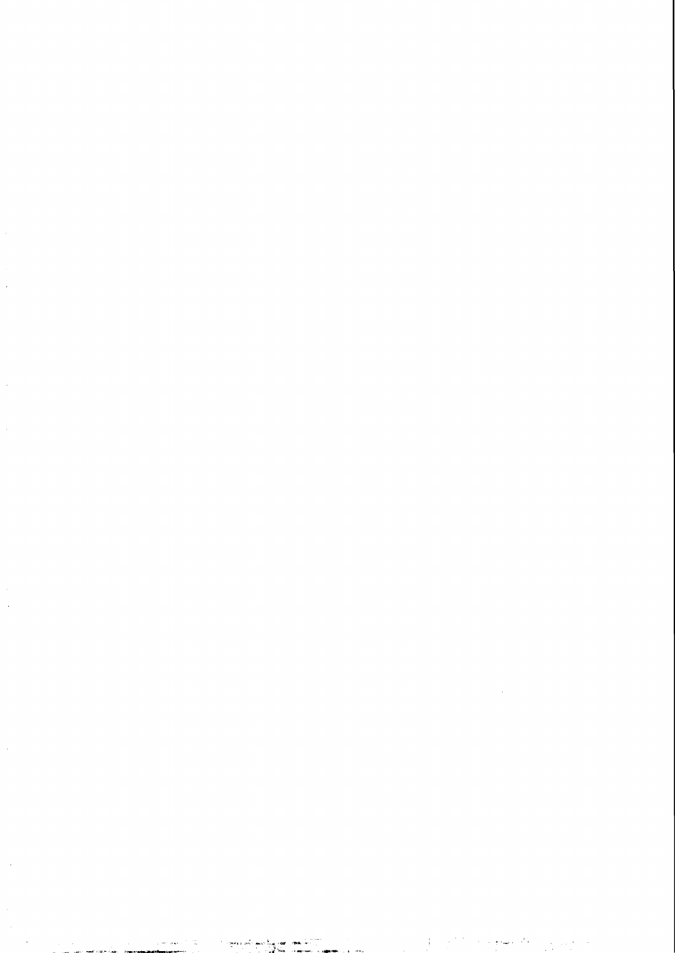$\label{eq:2} \frac{1}{\sqrt{2}}\int_{0}^{\pi} \frac{1}{\sqrt{2}}\left(\frac{1}{\sqrt{2}}\right)^{2}dx$  $\label{eq:2.1} \frac{1}{\sqrt{2}}\left(\frac{1}{\sqrt{2}}\right)^{2} \left(\frac{1}{\sqrt{2}}\right)^{2} \left(\frac{1}{\sqrt{2}}\right)^{2} \left(\frac{1}{\sqrt{2}}\right)^{2} \left(\frac{1}{\sqrt{2}}\right)^{2} \left(\frac{1}{\sqrt{2}}\right)^{2} \left(\frac{1}{\sqrt{2}}\right)^{2} \left(\frac{1}{\sqrt{2}}\right)^{2} \left(\frac{1}{\sqrt{2}}\right)^{2} \left(\frac{1}{\sqrt{2}}\right)^{2} \left(\frac{1}{\sqrt{2}}\right)^{2} \left(\$  $\frac{1}{2}$  $\mathcal{A}^{\mathcal{A}}$ 

 $\label{eq:3.1} \frac{1}{2}\int_{\mathbb{R}^{3}}\left(\frac{1}{\sqrt{2}}\int_{\mathbb{R}^{3}}\left(\frac{1}{\sqrt{2}}\right)^{2}e^{-\frac{1}{2}x}e^{-\frac{1}{2}x}e^{-\frac{1}{2}x}e^{-\frac{1}{2}x}e^{-\frac{1}{2}x}e^{-\frac{1}{2}x}e^{-\frac{1}{2}x}e^{-\frac{1}{2}x}e^{-\frac{1}{2}x}e^{-\frac{1}{2}x}e^{-\frac{1}{2}x}e^{-\frac{1}{2}x}e^{-\frac{1}{2}x}e^{-\frac{1}{2$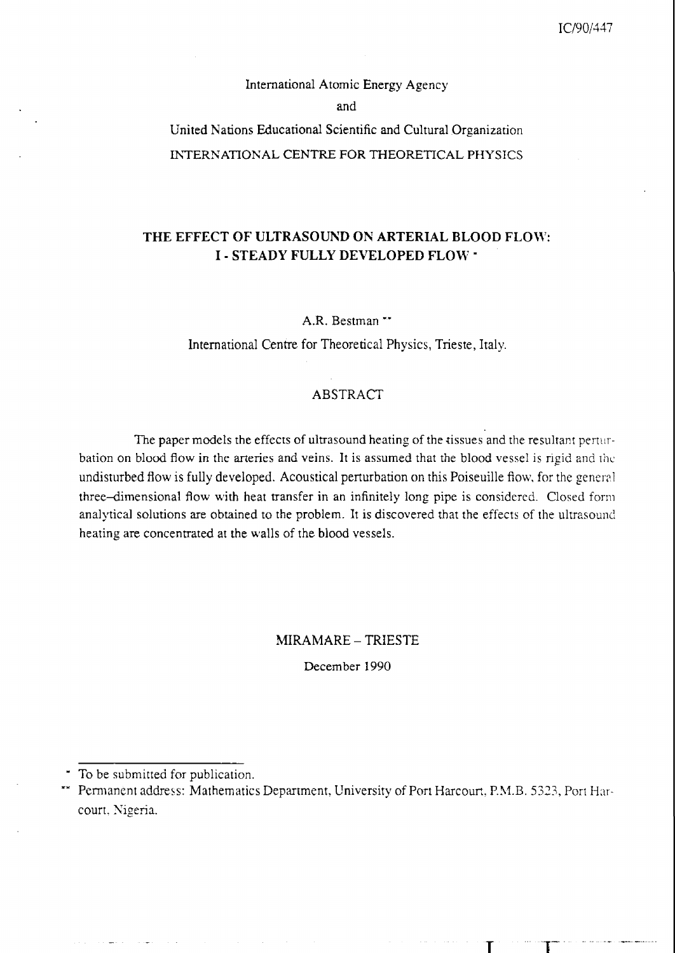International Atomic Energy Agency

and

United Nations Educational Scientific and Cultural Organization INTERNATIONAL CENTRE FOR THEORETICAL PHYSICS

## **THE EFFECT OF ULTRASOUND ON ARTERIAL BLOOD FLOW: I - STEADY FULLY DEVELOPED FLOW** •

A.R. Bestman \*\*

International Centre for Theoretical Physics, Trieste, Italy.

### ABSTRACT

The paper models the effects of ultrasound heating of the tissues and the resultant perturbation on blood flow in the arteries and veins. It is assumed that the blood vessel is rigid and the undisturbed flow is fully developed. Acoustical perturbation on this Poiseuille flow, for the general three-dimensional flow with heat transfer in an infinitely long pipe is considered. Closed form analytical solutions are obtained to the problem. It is discovered that the effects of the ultrasound heating are concentrated at the walls of the blood vessels.

#### MIRAMARE - TRIESTE

December 1990

\* To be submitted for publication.

Permanent address: Mathematics Department, University of Port Harcourt, P.M.B. 5323, Port Harcourt. Nigeria.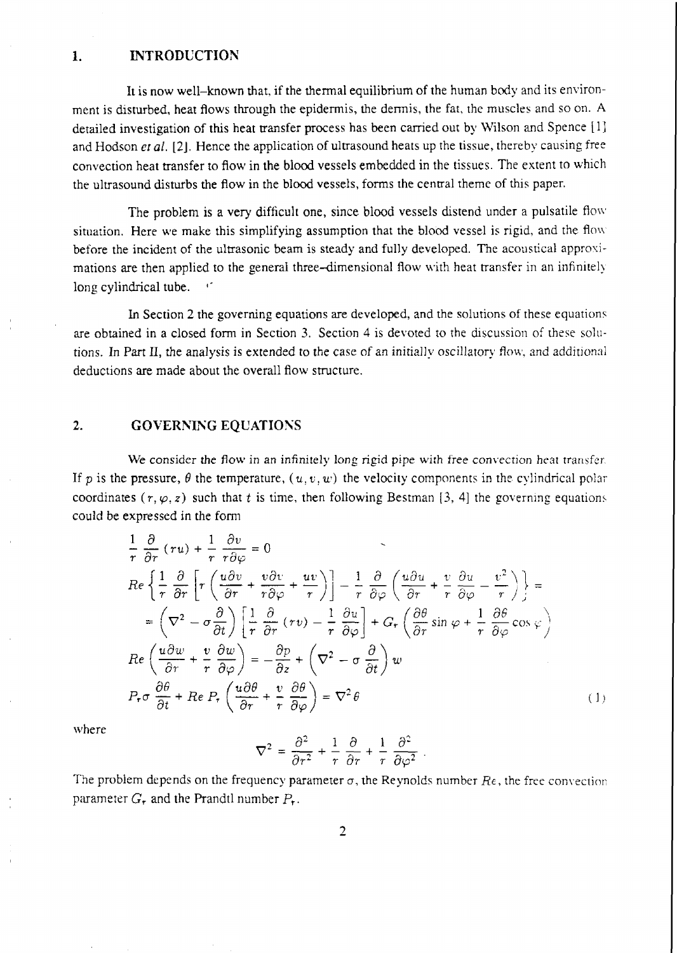### 1. INTRODUCTION

It is now well-known that, if the thermal equilibrium of the human body and its environment is disturbed, heat flows through the epidermis, the dermis, the fat, the muscles and so on. A detailed investigation of this heat transfer process has been carried out by Wilson and Spence [1] and Hodson *et at.* [2J. Hence the application of ultrasound heats up the tissue, thereby causing free convection heat transfer to flow in the blood vessels embedded in the tissues. The extent to which the ultrasound disturbs the flow in the blood vessels, forms the central theme of this paper.

The problem is a very difficult one, since blood vessels distend under a pulsatile flow situation. Here we make this simplifying assumption that the blood vessel is rigid, and the flow before the incident of the ultrasonic beam is steady and fully developed. The acoustical approximations are then applied to the general three-dimensional flow with heat transfer in an infinitely long cylindrical tube.

In Section 2 the governing equations are developed, and the solutions of these equations are obtained in a closed form in Section 3. Section 4 is devoted to the discussion of these solutions. In Part II, the analysis is extended to the case of an initially oscillatory flow, and additional deductions are made about the overall flow structure.

## 2. GOVERNING EQUATIONS

We consider the flow in an infinitely long rigid pipe with free convection heat transfer. If p is the pressure,  $\theta$  the temperature,  $(u, v, w)$  the velocity components in the cylindrical polar coordinates  $(r, \varphi, z)$  such that t is time, then following Bestman [3, 4] the governing equations could be expressed in the form

$$
\frac{1}{r} \frac{\partial}{\partial r} (r u) + \frac{1}{r} \frac{\partial v}{r \partial \varphi} = 0
$$
\n
$$
Re \left\{ \frac{1}{r} \frac{\partial}{\partial r} \left[ r \left( \frac{u \partial v}{\partial r} + \frac{v \partial v}{r \partial \varphi} + \frac{u v}{r} \right) \right] - \frac{1}{r} \frac{\partial}{\partial \varphi} \left( \frac{u \partial u}{\partial r} + \frac{v}{r} \frac{\partial u}{\partial \varphi} - \frac{v^2}{r} \right) \right\} =
$$
\n
$$
= \left( \nabla^2 - \sigma \frac{\partial}{\partial t} \right) \left[ \frac{1}{r} \frac{\partial}{\partial r} (r v) - \frac{1}{r} \frac{\partial u}{\partial \varphi} \right] + G_r \left( \frac{\partial \theta}{\partial r} \sin \varphi + \frac{1}{r} \frac{\partial \theta}{\partial \varphi} \cos \varphi \right)
$$
\n
$$
Re \left( \frac{u \partial w}{\partial r} + \frac{v}{r} \frac{\partial w}{\partial \varphi} \right) = -\frac{\partial p}{\partial z} + \left( \nabla^2 - \sigma \frac{\partial}{\partial t} \right) w
$$
\n
$$
P_r \sigma \frac{\partial \theta}{\partial t} + Re \, P_r \left( \frac{u \partial \theta}{\partial r} + \frac{v}{r} \frac{\partial \theta}{\partial \varphi} \right) = \nabla^2 \theta
$$
\n(1)

where

 $\nabla^2 - \frac{\partial^2}{\partial x^2} + 1$ *r dr* 1 *d<sup>2</sup>*  $\overline{r}$   $\overline{\partial \varphi^2}$ 

The problem depends on the frequency parameter  $\sigma$ , the Reynolds number  $Re$ , the free convection parameter  $G_{\tau}$  and the Prandtl number  $P_{\tau}$ .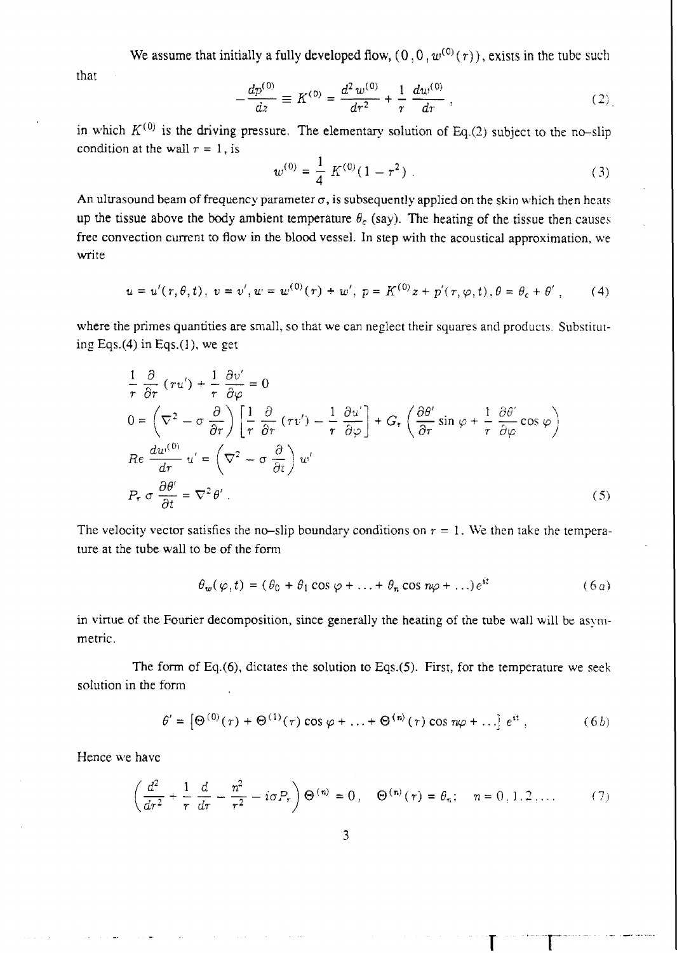We assume that initially a fully developed flow,  $(0, 0, w^{(0)}(r))$ , exists in the tube such

that

$$
-\frac{dp^{(0)}}{dz} \equiv K^{(0)} = \frac{d^2 w^{(0)}}{dr^2} + \frac{1}{r} \frac{dw^{(0)}}{dr}, \qquad (2)
$$

in which  $K^{(0)}$  is the driving pressure. The elementary solution of Eq.(2) subject to the no-slip condition at the wall  $r = 1$ , is

$$
w^{(0)} = \frac{1}{4} K^{(0)}(1 - r^2) \tag{3}
$$

An ultrasound beam of frequency parameter  $\sigma$ , is subsequently applied on the skin which then heats up the tissue above the body ambient temperature  $\theta_c$  (say). The heating of the tissue then causes free convection current to flow in the blood vessel. In step with the acoustical approximation, we write

$$
u = u'(r, \theta, t), \ v = v', w = w^{(0)}(r) + w', \ p = K^{(0)}z + p'(r, \varphi, t), \theta = \theta_c + \theta', \qquad (4)
$$

where the primes quantities are small, so that we can neglect their squares and products. Substituting Eqs.(4) in Eqs.(l), we get

$$
\frac{1}{r} \frac{\partial}{\partial r} (r u') + \frac{1}{r} \frac{\partial v'}{\partial \varphi} = 0
$$
\n
$$
0 = \left(\nabla^2 - \sigma \frac{\partial}{\partial r}\right) \left[\frac{1}{r} \frac{\partial}{\partial r} (r v') - \frac{1}{r} \frac{\partial u'}{\partial \varphi}\right] + G_r \left(\frac{\partial \theta'}{\partial r} \sin \varphi + \frac{1}{r} \frac{\partial \theta'}{\partial \varphi} \cos \varphi\right)
$$
\n
$$
Re \frac{d w^{(0)}}{dr} u' = \left(\nabla^2 - \sigma \frac{\partial}{\partial t}\right) w'
$$
\n
$$
P_r \sigma \frac{\partial \theta'}{\partial t} = \nabla^2 \theta'.
$$
\n(5)

The velocity vector satisfies the no-slip boundary conditions on  $r = 1$ . We then take the temperature at the tube wall to be of the form

$$
\theta_w(\varphi, t) = (\theta_0 + \theta_1 \cos \varphi + \ldots + \theta_n \cos n\varphi + \ldots) e^{it}
$$
 (6*a*)

in virtue of the Fourier decomposition, since generally the heating of the tube wall will be asymmetric.

The form of Eq.(6), dictates the solution to Eqs.(5). First, for the temperature we seek solution in the form

$$
\theta' = \left[\Theta^{(0)}(\tau) + \Theta^{(1)}(\tau)\cos\varphi + \ldots + \Theta^{(n)}(\tau)\cos n\varphi + \ldots\right]e^{it},\tag{6b}
$$

Hence we have

$$
\left(\frac{d^2}{dr^2} + \frac{1}{r}\frac{d}{dr} - \frac{n^2}{r^2} - i\sigma P_r\right)\Theta^{(n)} = 0, \quad \Theta^{(n)}(\tau) = \theta_n; \quad n = 0, 1, 2, \dots \tag{7}
$$

**r**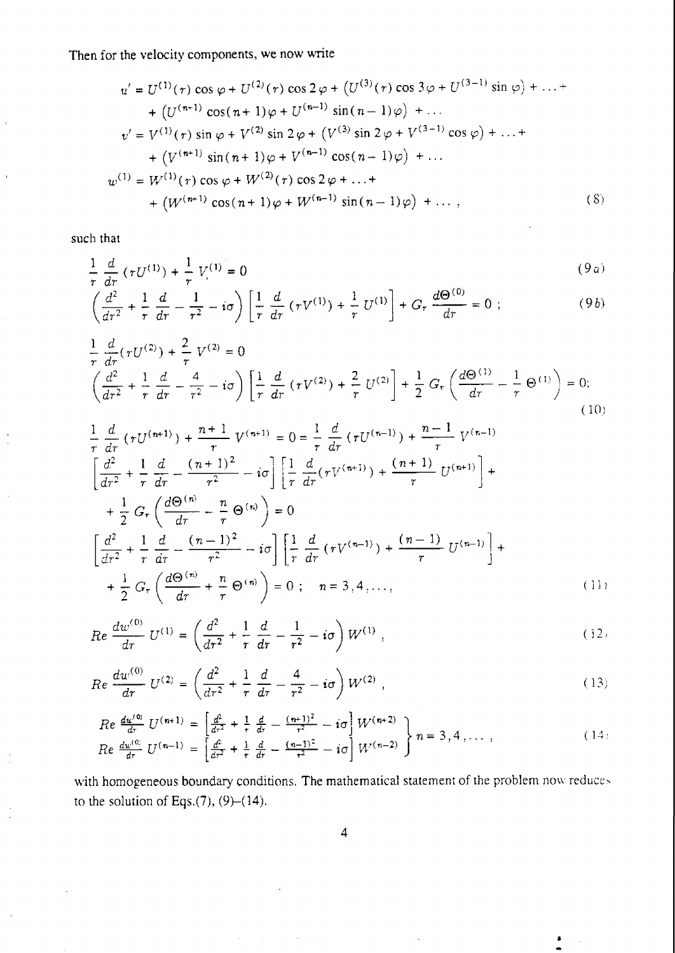Then for the velocity components, we now write

$$
u' = U^{(1)}(\tau) \cos \varphi + U^{(2)}(\tau) \cos 2\varphi + (U^{(3)}(\tau) \cos 3\varphi + U^{(3-1)} \sin \varphi) + ... +
$$
  
+ 
$$
(U^{(n+1)} \cos(n+1)\varphi + U^{(n-1)} \sin(n-1)\varphi) + ... +
$$
  

$$
v' = V^{(1)}(\tau) \sin \varphi + V^{(2)} \sin 2\varphi + (V^{(3)} \sin 2\varphi + V^{(3-1)} \cos \varphi) + ... +
$$
  
+ 
$$
(V^{(n+1)} \sin(n+1)\varphi + V^{(n-1)} \cos(n-1)\varphi) + ...
$$
  

$$
w^{(1)} = W^{(1)}(\tau) \cos \varphi + W^{(2)}(\tau) \cos 2\varphi + ... +
$$
  
+ 
$$
(W^{(n+1)} \cos(n+1)\varphi + W^{(n-1)} \sin(n-1)\varphi) + ... ,
$$
 (8)

such that

 $\overline{1}$ 

 $\bar{\phantom{a}}$ 

 $\ddot{\phantom{a}}$ 

$$
\frac{1}{\tau} \frac{d}{d\tau} \left( \tau U^{(1)} \right) + \frac{1}{\tau} \ V^{(1)} = 0 \tag{9a}
$$

$$
\left(\frac{d^2}{dr^2} + \frac{1}{r}\frac{d}{dr} - \frac{1}{r^2} - i\sigma\right) \left[\frac{1}{r}\frac{d}{dr}\left(rV^{(1)}\right) + \frac{1}{r}U^{(1)}\right] + G_r \frac{d\Theta^{(0)}}{dr} = 0 ;\tag{9b}
$$

$$
\frac{1}{r}\frac{d}{dr}(rU^{(2)}) + \frac{2}{r}V^{(2)} = 0
$$
\n
$$
\left(\frac{d^2}{dr^2} + \frac{1}{r}\frac{d}{dr} - \frac{4}{r^2} - i\sigma\right)\left[\frac{1}{r}\frac{d}{dr}(rV^{(2)}) + \frac{2}{r}U^{(2)}\right] + \frac{1}{2}G_r\left(\frac{d\Theta^{(1)}}{dr} - \frac{1}{r}\Theta^{(1)}\right) = 0;
$$
\n(10)

$$
\frac{1}{r} \frac{d}{dr} \left( rU^{(n+1)} \right) + \frac{n+1}{r} V^{(n+1)} = 0 = \frac{1}{r} \frac{d}{dr} \left( rU^{(n-1)} \right) + \frac{n-1}{r} V^{(n-1)}
$$
\n
$$
\left[ \frac{d^2}{dr^2} + \frac{1}{r} \frac{d}{dr} - \frac{(n+1)^2}{r^2} - i\sigma \right] \left[ \frac{1}{r} \frac{d}{dr} \left( rV^{(n+1)} \right) + \frac{(n+1)}{r} U^{(n+1)} \right] + \frac{1}{2} G_r \left( \frac{d\Theta^{(n)}}{dr} - \frac{n}{r} \Theta^{(n)} \right) = 0
$$
\n
$$
\left[ \frac{d^2}{dr^2} + \frac{1}{r} \frac{d}{dr} - \frac{(n-1)^2}{r^2} - i\sigma \right] \left[ \frac{1}{r} \frac{d}{dr} \left( rV^{(n-1)} \right) + \frac{(n-1)}{r} U^{(n-1)} \right] + \frac{1}{2} G_r \left( \frac{d\Theta^{(n)}}{dr} + \frac{n}{r} \Theta^{(n)} \right) = 0 ; \quad n = 3, 4, \dots,
$$
\n(11)

$$
Re \frac{dw^{(0)}}{dr} U^{(1)} = \left(\frac{d^2}{dr^2} + \frac{1}{r} \frac{d}{dr} - \frac{1}{r^2} - i\sigma\right) W^{(1)}, \qquad (12)
$$

$$
Re \frac{du^{(0)}}{dr} U^{(2)} = \left(\frac{d^2}{dr^2} + \frac{1}{r} \frac{d}{dr} - \frac{4}{r^2} - i\sigma\right) W^{(2)}, \qquad (13)
$$

$$
Re \frac{d w^{(0)}}{dr} U^{(n+1)} = \left[ \frac{d^2}{dr^2} + \frac{1}{r} \frac{d}{dr} - \frac{(n+1)^2}{r^2} - i\sigma \right] W^{(n+2)} \braket{n+2}}{dr^2} = \left[ \frac{d^2}{dr^2} + \frac{1}{r} \frac{d}{dr} - \frac{(n-1)^2}{r^2} - i\sigma \right] W^{(n-2)} \begin{cases} n = 3, 4, \dots, \\ n = 3, 4, \dots, \end{cases}
$$
 (14)

with homogeneous boundary conditions. The mathematical statement of the problem now reduces to the solution of Eqs. $(7)$ ,  $(9)$ – $(14)$ .

 $\overline{\mathbf{4}}$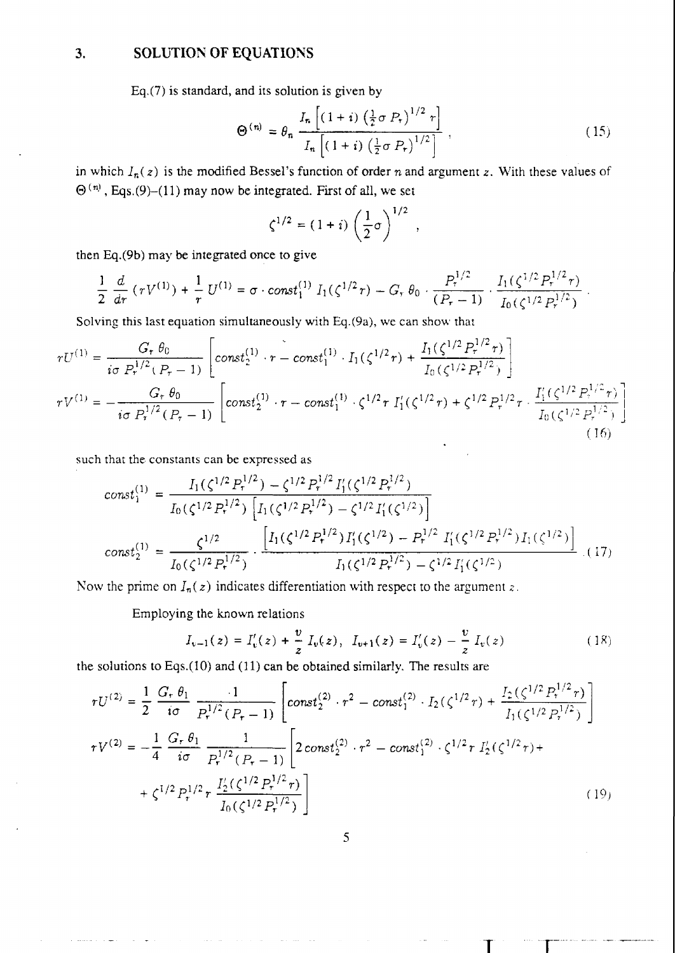## 3. SOLUTION OF EQUATIONS

Eq.(7) is standard, and its solution is given by

$$
\Theta^{(n)} = \theta_n \frac{I_n \left[ (1+i) \left( \frac{1}{2} \sigma P_r \right)^{1/2} r \right]}{I_n \left[ (1+i) \left( \frac{1}{2} \sigma P_r \right)^{1/2} \right]},
$$
(15)

in which  $I_n(z)$  is the modified Bessel's function of order *n* and argument *z*. With these values of  $\Theta^{(n)}$ , Eqs.(9)–(11) may now be integrated. First of all, we set

$$
\zeta^{1/2} = (1+i) \left(\frac{1}{2}\sigma\right)^{1/2}
$$

then Eq.(9b) may be integrated once to give

$$
\frac{1}{2} \frac{d}{dr} \left( rV^{(1)} \right) + \frac{1}{r} U^{(1)} = \sigma \cdot const_1^{(1)} I_1(\zeta^{1/2}r) - G_r \theta_0 \cdot \frac{P_r^{1/2}}{(P_r - 1)} \cdot \frac{I_1(\zeta^{1/2} P_r^{1/2}r)}{I_0(\zeta^{1/2} P_r^{1/2})}
$$

Solving this last equation simultaneously with Eq.(9a), we can show that

$$
rU^{(1)} = \frac{G_r \theta_0}{i\sigma P_r^{1/2}(P_r - 1)} \left[ \text{const}_2^{(1)} \cdot r - \text{const}_1^{(1)} \cdot I_1(\zeta^{1/2}r) + \frac{I_1(\zeta^{1/2} P_r^{1/2}r)}{I_0(\zeta^{1/2} P_r^{1/2})} \right]
$$
  

$$
rV^{(1)} = -\frac{G_r \theta_0}{i\sigma P_r^{1/2}(P_r - 1)} \left[ \text{const}_2^{(1)} \cdot r - \text{const}_1^{(1)} \cdot \zeta^{1/2}r I_1'(\zeta^{1/2}r) + \zeta^{1/2} P_r^{1/2}r \cdot \frac{I_1'(\zeta^{1/2} P_r^{1/2}r)}{I_0(\zeta^{1/2} P_r^{1/2})} \right]
$$
  
(16)

such that the constants can be expressed as

$$
const_1^{(1)} = \frac{I_1(\zeta^{1/2} P_r^{1/2}) - \zeta^{1/2} P_r^{1/2} I_1'(\zeta^{1/2} P_r^{1/2})}{I_0(\zeta^{1/2} P_r^{1/2}) \left[ I_1(\zeta^{1/2} P_r^{1/2}) - \zeta^{1/2} I_1'(\zeta^{1/2}) \right]}
$$

$$
const_2^{(1)} = \frac{\zeta^{1/2}}{I_0(\zeta^{1/2} P_r^{1/2})} \cdot \frac{\left[ I_1(\zeta^{1/2} P_r^{1/2}) I_1'(\zeta^{1/2}) - P_r^{1/2} I_1'(\zeta^{1/2} P_r^{1/2}) I_1(\zeta^{1/2}) \right]}{I_1(\zeta^{1/2} P_r^{1/2}) - \zeta^{1/2} I_1'(\zeta^{1/2})} \tag{17}
$$

Now the prime on  $I_n(z)$  indicates differentiation with respect to the argument z.

Employing the known relations

$$
I_{v-1}(z) = I'_v(z) + \frac{v}{z} I_v(z), \quad I_{v+1}(z) = I'_v(z) - \frac{v}{z} I_v(z)
$$
 (18)

the solutions to Eqs. $(10)$  and  $(11)$  can be obtained similarly. The results are

$$
rU^{(2)} = \frac{1}{2} \frac{G_r \theta_1}{i\sigma} \frac{1}{P_r^{1/2} (P_r - 1)} \left[ \text{const}_2^{(2)} \cdot r^2 - \text{const}_1^{(2)} \cdot I_2(\zeta^{1/2} r) + \frac{I_2(\zeta^{1/2} P_r^{1/2} r)}{I_1(\zeta^{1/2} P_r^{1/2})} \right]
$$
  

$$
rV^{(2)} = -\frac{1}{4} \frac{G_r \theta_1}{i\sigma} \frac{1}{P_r^{1/2} (P_r - 1)} \left[ 2 \text{const}_2^{(2)} \cdot r^2 - \text{const}_1^{(2)} \cdot \zeta^{1/2} r I_2'(\zeta^{1/2} r) + \zeta^{1/2} P_r^{1/2} r \frac{I_2'(\zeta^{1/2} P_r^{1/2} r)}{I_0(\zeta^{1/2} P_r^{1/2})} \right]
$$
(19)

5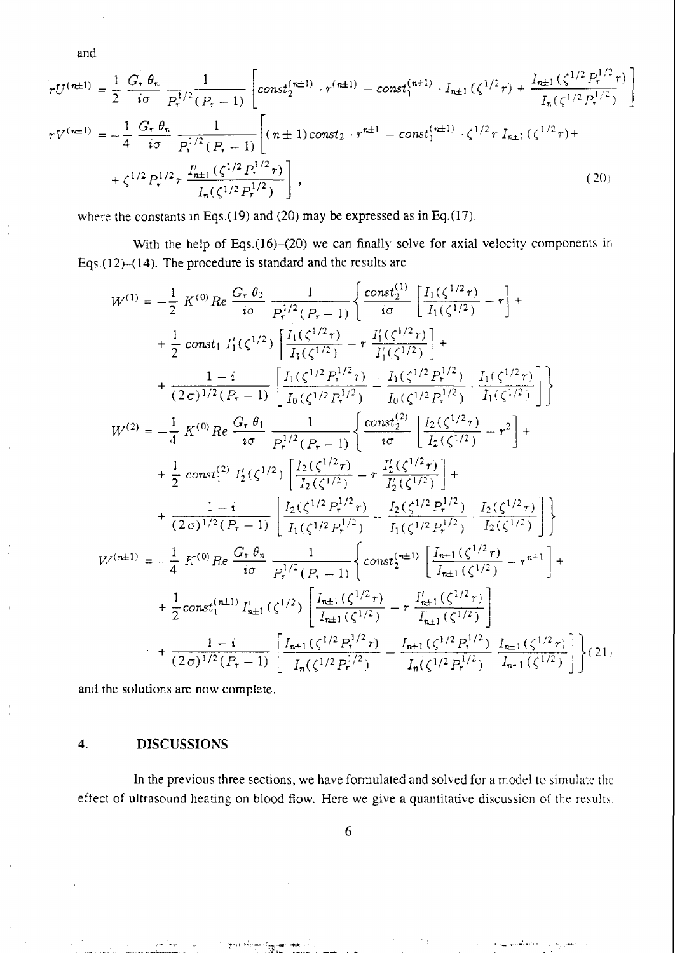$$
\quad \text{and} \quad
$$

$$
rU^{(n\pm 1)} = \frac{1}{2} \frac{G_r \theta_n}{i\sigma} \frac{1}{P_r^{1/2}(P_r - 1)} \left[ \text{const}_2^{(n\pm 1)} \cdot r^{(n\pm 1)} - \text{const}_1^{(n\pm 1)} \cdot I_{n\pm 1}(\zeta^{1/2}r) + \frac{I_{n\pm 1}(\zeta^{1/2}P_r^{1/2}r)}{I_n(\zeta^{1/2}P_r^{1/2})} \right]
$$
  

$$
rV^{(n\pm 1)} = -\frac{1}{4} \frac{G_r \theta_n}{i\sigma} \frac{1}{P_r^{1/2}(P_r - 1)} \left[ (n\pm 1)\text{const}_2 \cdot r^{n\pm 1} - \text{const}_1^{(n\pm 1)} \cdot \zeta^{1/2}r I_{n\pm 1}(\zeta^{1/2}r) + \zeta^{1/2}P_r^{1/2}r \frac{I_{n\pm 1}(\zeta^{1/2}P_r^{1/2}r)}{I_n(\zeta^{1/2}P_r^{1/2})} \right],
$$
(20)

where the constants in Eqs.(19) and (20) may be expressed as in Eq.(17).

With the help of Eqs.(16)-(20) we can finally solve for axial velocity components in Eqs.(12}-(14). The procedure is standard and the results are

$$
W^{(1)} = -\frac{1}{2} K^{(0)} Re \frac{G_r \theta_0}{i\sigma} \frac{1}{P_r^{1/2}(P_r - 1)} \left\{ \frac{f_1(\zeta^{1/2}r)}{i\sigma} \left[ \frac{I_1(\zeta^{1/2}r)}{I_1(\zeta^{1/2})} - r \right] + \frac{1}{2} \text{const}_{1} I'_1(\zeta^{1/2}) \left[ \frac{I_1(\zeta^{1/2}r)}{I_1(\zeta^{1/2})} - r \frac{I'_1(\zeta^{1/2}r)}{I'_1(\zeta^{1/2})} \right] + \frac{1 - i}{(2\sigma)^{1/2}(P_r - 1)} \left[ \frac{I_1(\zeta^{1/2}P_r^{1/2}r)}{I_0(\zeta^{1/2}P_r^{1/2})} - \frac{I_1(\zeta^{1/2}P_r^{1/2})}{I_0(\zeta^{1/2}P_r^{1/2})} \cdot \frac{I_1(\zeta^{1/2}r)}{I_1(\zeta^{1/2})} \right] \right\}
$$
  
\n
$$
W^{(2)} = -\frac{1}{4} K^{(0)} Re \frac{G_r \theta_1}{i\sigma} \frac{1}{P_r^{1/2}(P_r - 1)} \left\{ \frac{\text{const}_2^{(2)}}{\text{io}} \left[ \frac{I_2(\zeta^{1/2}r)}{I_2(\zeta^{1/2})} - r^2 \right] + \frac{1}{2} \text{const}_1^{(2)} I'_2(\zeta^{1/2}) \left[ \frac{I_2(\zeta^{1/2}r)}{I_2(\zeta^{1/2})} - r \frac{I'_2(\zeta^{1/2}r)}{I'_2(\zeta^{1/2})} \right] + \frac{1 - i}{(2\sigma)^{1/2}(P_r - 1)} \left[ \frac{I_2(\zeta^{1/2}P_r^{1/2}r)}{I_1(\zeta^{1/2}P_r^{1/2})} - \frac{I_2(\zeta^{1/2}P_r^{1/2})}{I_1(\zeta^{1/2}P_r^{1/2})} \cdot \frac{I_2(\zeta^{1/2}r)}{I_2(\zeta^{1/2})} \right] \right\}
$$
  
\n
$$
W^{(\text{nt-1})} = -\frac{1}{4} K^{(0)}
$$

and the solutions are now complete.

**They's and** 

## **4.** DISCUSSIONS

In the previous three sections, we have formulated and solved for a model to simulate the effect of ultrasound heating on blood flow. Here we give a quantitative discussion of the results.

6

Λţ.

بحصائم والمستهدف والمتماز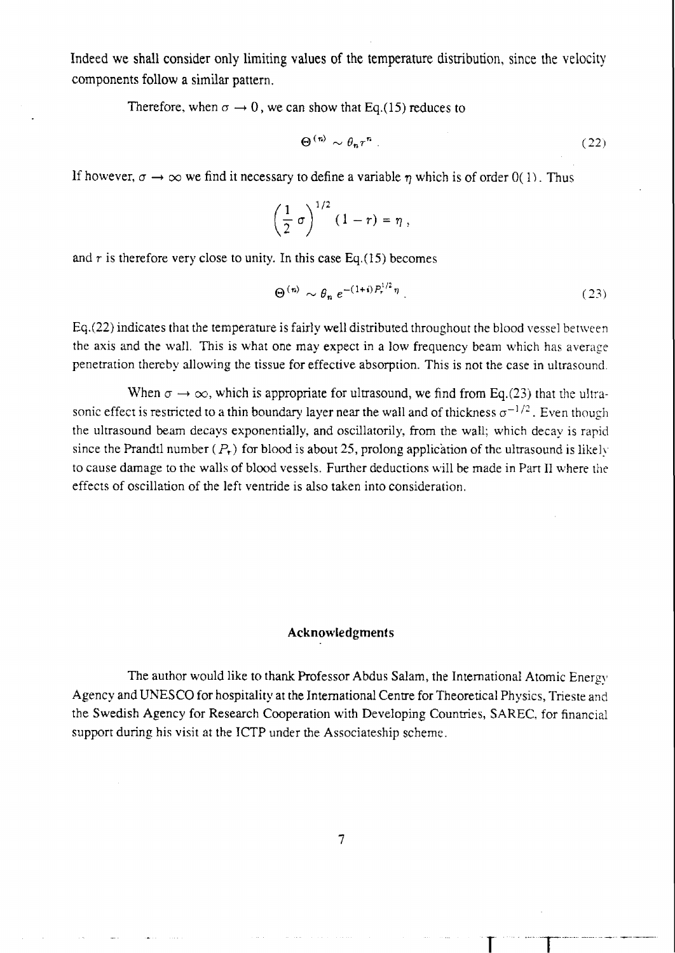Indeed we shall consider only limiting values of the temperature distribution, since the velocity components follow a similar pattern.

Therefore, when  $\sigma \to 0$ , we can show that Eq.(15) reduces to

$$
\Theta^{(n)} \sim \theta_n \tau^n \tag{22}
$$

If however,  $\sigma \to \infty$  we find it necessary to define a variable  $\eta$  which is of order 0(1). Thus

$$
\left(\frac{1}{2}\,\sigma\right)^{1/2}\,(1-r)=\eta\;,
$$

and  $\tau$  is therefore very close to unity. In this case Eq.(15) becomes

$$
\Theta^{(n)} \sim \theta_n \, e^{-(1+i)P_r^{1/2}\eta} \,. \tag{23}
$$

Eq.(22) indicates that the temperature is fairly well distributed throughout the blood vessel between the axis and the wall. This is what one may expect in a low frequency beam which has average penetration thereby allowing the tissue for effective absorption. This is not the case in ultrasound.

When  $\sigma \to \infty$ , which is appropriate for ultrasound, we find from Eq.(23) that the ultrasonic effect is restricted to a thin boundary layer near the wall and of thickness  $\sigma^{-1/2}$ . Even though the ultrasound beam decays exponentially, and oscillatorily, from the wall; which decay is rapid since the Prandtl number ( $P_r$ ) for blood is about 25, prolong application of the ultrasound is likely to cause damage to the walls of blood vessels. Further deductions will be made in Part II where the effects of oscillation of the left ventride is also taken into consideration.

#### **Acknowledgments**

The author would like to thank Professor Abdus Salam, the International Atomic Energy Agency and UNESCO for hospitality at the International Centre for Theoretical Physics, Trieste and the Swedish Agency for Research Cooperation with Developing Countries, SAREC, for financial support during his visit at the ICTP under the Associateship scheme.

**T T**